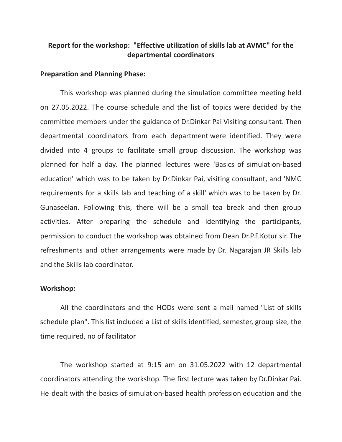## **Report for the workshop: "Effective utilization of skills lab at AVMC" for the departmental coordinators**

#### **Preparation and Planning Phase:**

This workshop was planned during the simulation committee meeting held on 27.05.2022. The course schedule and the list of topics were decided by the committee members under the guidance of Dr.Dinkar Pai Visiting consultant. Then departmental coordinators from each department were identified. They were divided into 4 groups to facilitate small group discussion. The workshop was planned for half a day. The planned lectures were 'Basics of simulation-based education' which was to be taken by Dr.Dinkar Pai, visiting consultant, and 'NMC requirements for a skills lab and teaching of a skill' which was to be taken by Dr. Gunaseelan. Following this, there will be a small tea break and then group activities. After preparing the schedule and identifying the participants, permission to conduct the workshop was obtained from Dean Dr.P.F.Kotur sir. The refreshments and other arrangements were made by Dr. Nagarajan JR Skills lab and the Skills lab coordinator.

### **Workshop:**

All the coordinators and the HODs were sent a mail named "List of skills schedule plan". This list included a List of skills identified, semester, group size, the time required, no of facilitator

The workshop started at 9:15 am on 31.05.2022 with 12 departmental coordinators attending the workshop. The first lecture was taken by Dr.Dinkar Pai. He dealt with the basics of simulation-based health profession education and the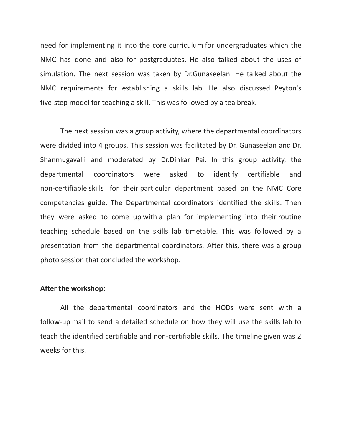need for implementing it into the core curriculum for undergraduates which the NMC has done and also for postgraduates. He also talked about the uses of simulation. The next session was taken by Dr.Gunaseelan. He talked about the NMC requirements for establishing a skills lab. He also discussed Peyton's five-step model for teaching a skill. This was followed by a tea break.

The next session was a group activity, where the departmental coordinators were divided into 4 groups. This session was facilitated by Dr. Gunaseelan and Dr. Shanmugavalli and moderated by Dr.Dinkar Pai. In this group activity, the departmental coordinators were asked to identify certifiable and non-certifiable skills for their particular department based on the NMC Core competencies guide. The Departmental coordinators identified the skills. Then they were asked to come up with a plan for implementing into their routine teaching schedule based on the skills lab timetable. This was followed by a presentation from the departmental coordinators. After this, there was a group photo session that concluded the workshop.

### **After the workshop:**

All the departmental coordinators and the HODs were sent with a follow-up mail to send a detailed schedule on how they will use the skills lab to teach the identified certifiable and non-certifiable skills. The timeline given was 2 weeks for this.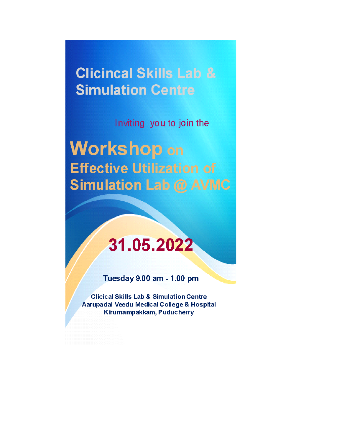**Clicincal Skills Lab & Simulation Centre** 

Inviting you to join the

**Workshop on Effective Utilization of Simulation Lab @ AVMC** 

# 31.05.2022

Tuesday 9.00 am - 1.00 pm

**Clicical Skills Lab & Simulation Centre** Aarupadai Veedu Medical College & Hospital Kirumampakkam, Puducherry